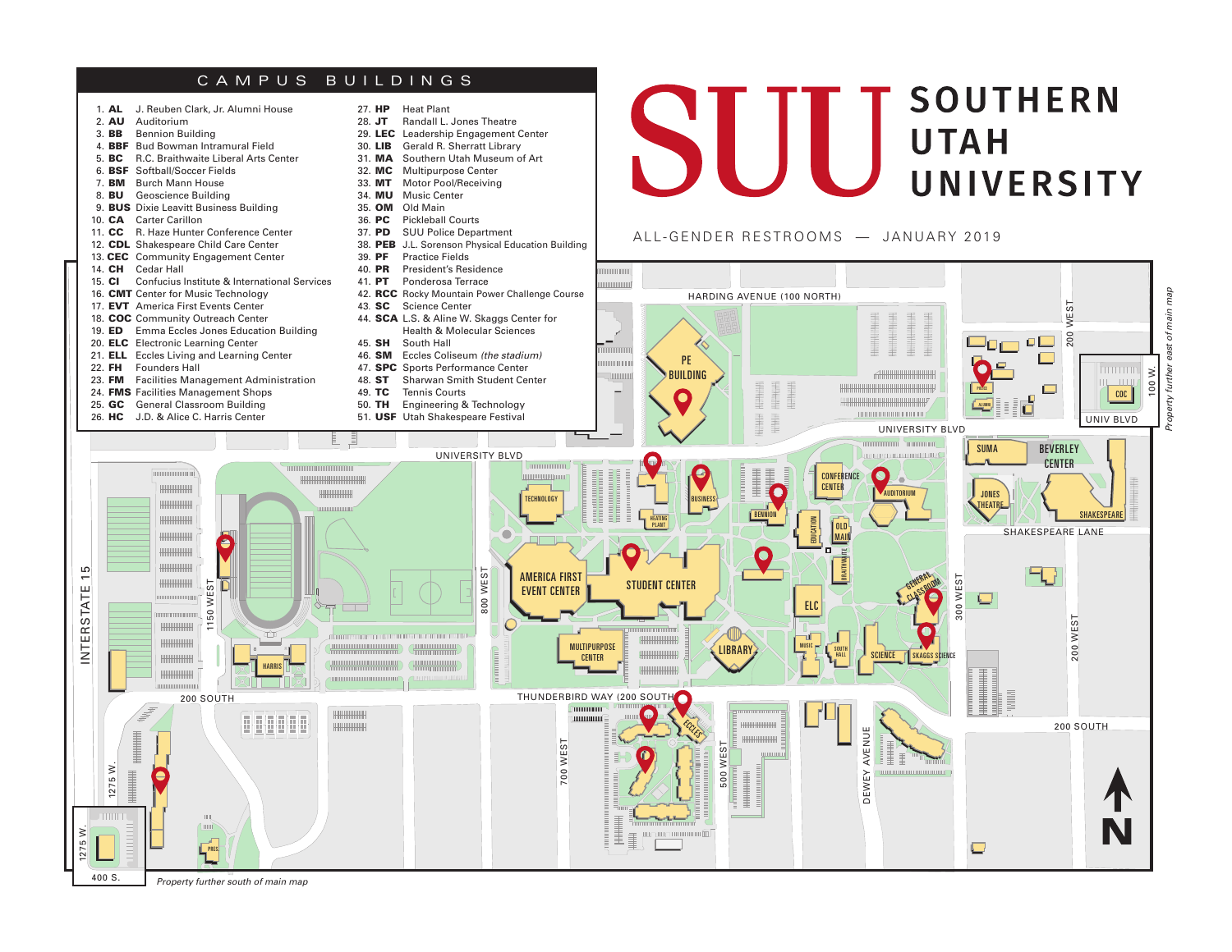## CAMPUS BUILDINGS



*Property further south of main map*